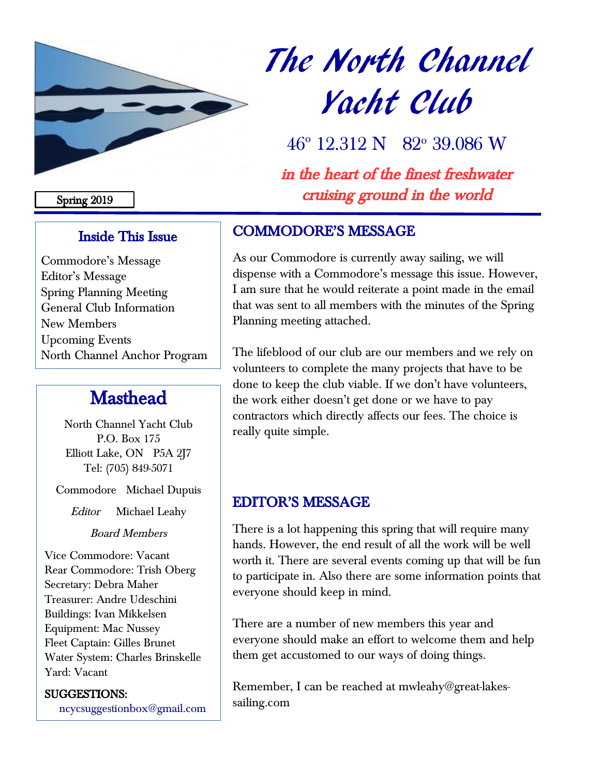

# The North Channel Yacht Club

46° 12.312 N 82° 39.086 W

in the heart of the finest freshwater cruising ground in the world

#### Spring 2019

## Inside This Issue

Commodore's Message Editor's Message Spring Planning Meeting General Club Information New Members Upcoming Events North Channel Anchor Program

## **Masthead**

North Channel Yacht Club P.O. Box 175 Elliott Lake, ON P5A 2J7 Tel: (705) 849-5071

Commodore Michael Dupuis

Editor Michael Leahy

Board Members

Vice Commodore: Vacant Rear Commodore: Trish Oberg Secretary: Debra Maher Treasurer: Andre Udeschini Buildings: Ivan Mikkelsen Equipment: Mac Nussey Fleet Captain: Gilles Brunet Water System: Charles Brinskelle Yard: Vacant

#### SUGGESTIONS:

[ncycsuggestionbox@gmail.com](mailto:ncycsuggestionbox@gmail.com)

## COMMODORE'S MESSAGE

As our Commodore is currently away sailing, we will dispense with a Commodore's message this issue. However, I am sure that he would reiterate a point made in the email that was sent to all members with the minutes of the Spring Planning meeting attached.

The lifeblood of our club are our members and we rely on volunteers to complete the many projects that have to be done to keep the club viable. If we don't have volunteers, the work either doesn't get done or we have to pay contractors which directly affects our fees. The choice is really quite simple.

## EDITOR'S MESSAGE

There is a lot happening this spring that will require many hands. However, the end result of all the work will be well worth it. There are several events coming up that will be fun to participate in. Also there are some information points that everyone should keep in mind.

There are a number of new members this year and everyone should make an effort to welcome them and help them get accustomed to our ways of doing things.

Remember, I can be reached at mwleahy@great-lakessailing.com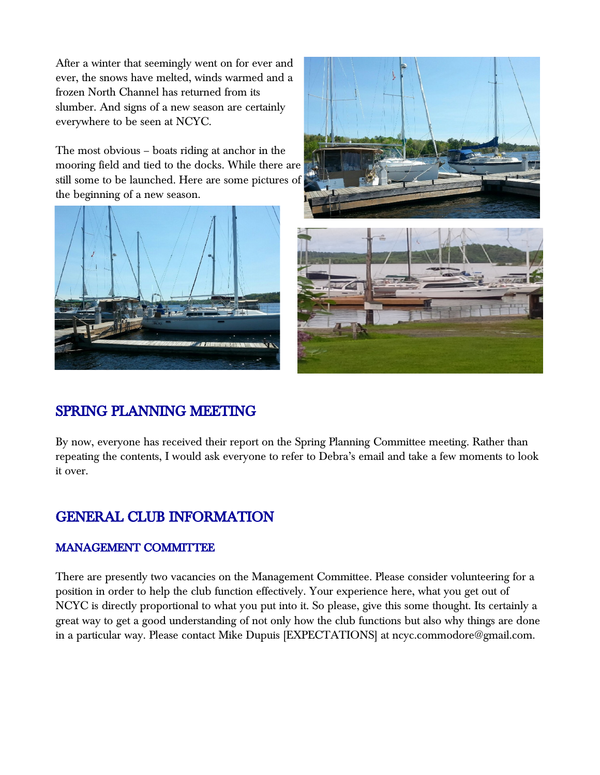After a winter that seemingly went on for ever and ever, the snows have melted, winds warmed and a frozen North Channel has returned from its slumber. And signs of a new season are certainly everywhere to be seen at NCYC.

The most obvious – boats riding at anchor in the mooring field and tied to the docks. While there are still some to be launched. Here are some pictures of the beginning of a new season.







## SPRING PLANNING MEETING

By now, everyone has received their report on the Spring Planning Committee meeting. Rather than repeating the contents, I would ask everyone to refer to Debra's email and take a few moments to look it over.

## GENERAL CLUB INFORMATION

#### MANAGEMENT COMMITTEE

There are presently two vacancies on the Management Committee. Please consider volunteering for a position in order to help the club function effectively. Your experience here, what you get out of NCYC is directly proportional to what you put into it. So please, give this some thought. Its certainly a great way to get a good understanding of not only how the club functions but also why things are done in a particular way. Please contact Mike Dupuis [EXPECTATIONS] at ncyc.commodore@gmail.com.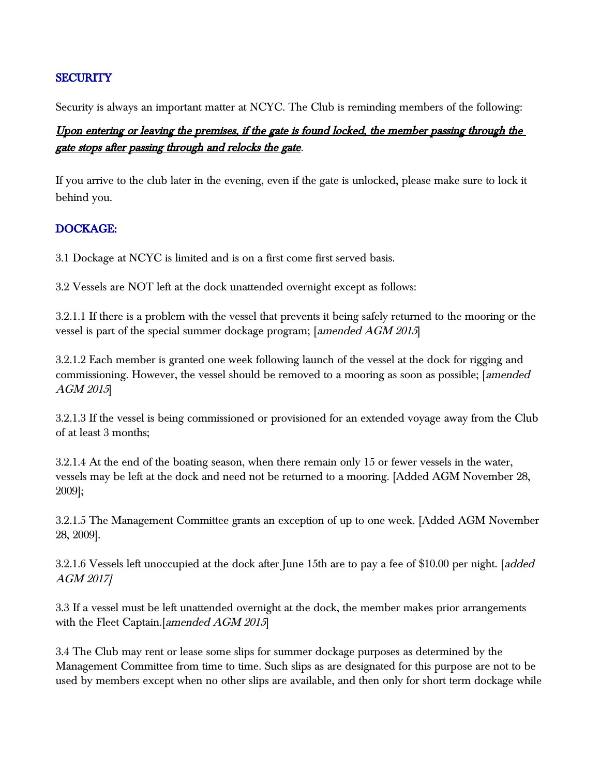#### **SECURITY**

Security is always an important matter at NCYC. The Club is reminding members of the following:

#### Upon entering or leaving the premises, if the gate is found locked, the member passing through the gate stops after passing through and relocks the gate.

If you arrive to the club later in the evening, even if the gate is unlocked, please make sure to lock it behind you.

#### DOCKAGE:

3.1 Dockage at NCYC is limited and is on a first come first served basis.

3.2 Vessels are NOT left at the dock unattended overnight except as follows:

3.2.1.1 If there is a problem with the vessel that prevents it being safely returned to the mooring or the vessel is part of the special summer dockage program; [amended AGM 2015]

3.2.1.2 Each member is granted one week following launch of the vessel at the dock for rigging and commissioning. However, the vessel should be removed to a mooring as soon as possible; [amended AGM 2015]

3.2.1.3 If the vessel is being commissioned or provisioned for an extended voyage away from the Club of at least 3 months;

3.2.1.4 At the end of the boating season, when there remain only 15 or fewer vessels in the water, vessels may be left at the dock and need not be returned to a mooring. [Added AGM November 28, 2009];

3.2.1.5 The Management Committee grants an exception of up to one week. [Added AGM November 28, 2009].

3.2.1.6 Vessels left unoccupied at the dock after June 15th are to pay a fee of \$10.00 per night. [added AGM 2017]

3.3 If a vessel must be left unattended overnight at the dock, the member makes prior arrangements with the Fleet Captain.[amended AGM 2015]

3.4 The Club may rent or lease some slips for summer dockage purposes as determined by the Management Committee from time to time. Such slips as are designated for this purpose are not to be used by members except when no other slips are available, and then only for short term dockage while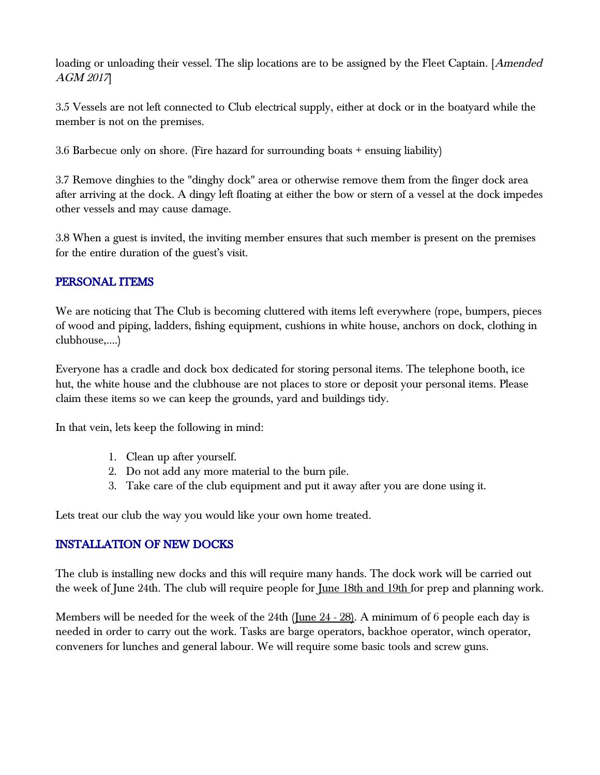loading or unloading their vessel. The slip locations are to be assigned by the Fleet Captain. [*Amended* AGM 2017]

3.5 Vessels are not left connected to Club electrical supply, either at dock or in the boatyard while the member is not on the premises.

3.6 Barbecue only on shore. (Fire hazard for surrounding boats + ensuing liability)

3.7 Remove dinghies to the "dinghy dock" area or otherwise remove them from the finger dock area after arriving at the dock. A dingy left floating at either the bow or stern of a vessel at the dock impedes other vessels and may cause damage.

3.8 When a guest is invited, the inviting member ensures that such member is present on the premises for the entire duration of the guest's visit.

#### PERSONAL ITEMS

We are noticing that The Club is becoming cluttered with items left everywhere (rope, bumpers, pieces of wood and piping, ladders, fishing equipment, cushions in white house, anchors on dock, clothing in clubhouse,....)

Everyone has a cradle and dock box dedicated for storing personal items. The telephone booth, ice hut, the white house and the clubhouse are not places to store or deposit your personal items. Please claim these items so we can keep the grounds, yard and buildings tidy.

In that vein, lets keep the following in mind:

- 1. Clean up after yourself.
- 2. Do not add any more material to the burn pile.
- 3. Take care of the club equipment and put it away after you are done using it.

Lets treat our club the way you would like your own home treated.

#### INSTALLATION OF NEW DOCKS

The club is installing new docks and this will require many hands. The dock work will be carried out the week of June 24th. The club will require people for <u>June 18th and 19th</u> for prep and planning work.

Members will be needed for the week of the 24th (June  $24 - 28$ ). A minimum of 6 people each day is needed in order to carry out the work. Tasks are barge operators, backhoe operator, winch operator, conveners for lunches and general labour. We will require some basic tools and screw guns.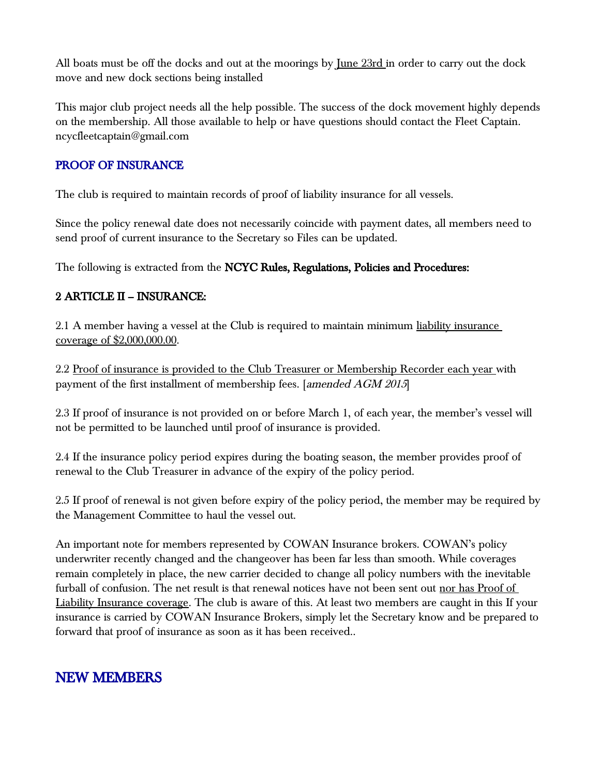All boats must be off the docks and out at the moorings by <u>June 23rd</u> in order to carry out the dock move and new dock sections being installed

This major club project needs all the help possible. The success of the dock movement highly depends on the membership. All those available to help or have questions should contact the Fleet Captain. ncycfleetcaptain@gmail.com

#### PROOF OF INSURANCE

The club is required to maintain records of proof of liability insurance for all vessels.

Since the policy renewal date does not necessarily coincide with payment dates, all members need to send proof of current insurance to the Secretary so Files can be updated.

The following is extracted from the NCYC Rules, Regulations, Policies and Procedures:

#### 2 ARTICLE II – INSURANCE:

2.1 A member having a vessel at the Club is required to maintain minimum liability insurance coverage of \$2,000,000.00.

2.2 Proof of insurance is provided to the Club Treasurer or Membership Recorder each year with payment of the first installment of membership fees. [amended AGM 2015]

2.3 If proof of insurance is not provided on or before March 1, of each year, the member's vessel will not be permitted to be launched until proof of insurance is provided.

2.4 If the insurance policy period expires during the boating season, the member provides proof of renewal to the Club Treasurer in advance of the expiry of the policy period.

2.5 If proof of renewal is not given before expiry of the policy period, the member may be required by the Management Committee to haul the vessel out.

An important note for members represented by COWAN Insurance brokers. COWAN's policy underwriter recently changed and the changeover has been far less than smooth. While coverages remain completely in place, the new carrier decided to change all policy numbers with the inevitable furball of confusion. The net result is that renewal notices have not been sent out nor has Proof of Liability Insurance coverage. The club is aware of this. At least two members are caught in this If your insurance is carried by COWAN Insurance Brokers, simply let the Secretary know and be prepared to forward that proof of insurance as soon as it has been received..

## NEW MEMBERS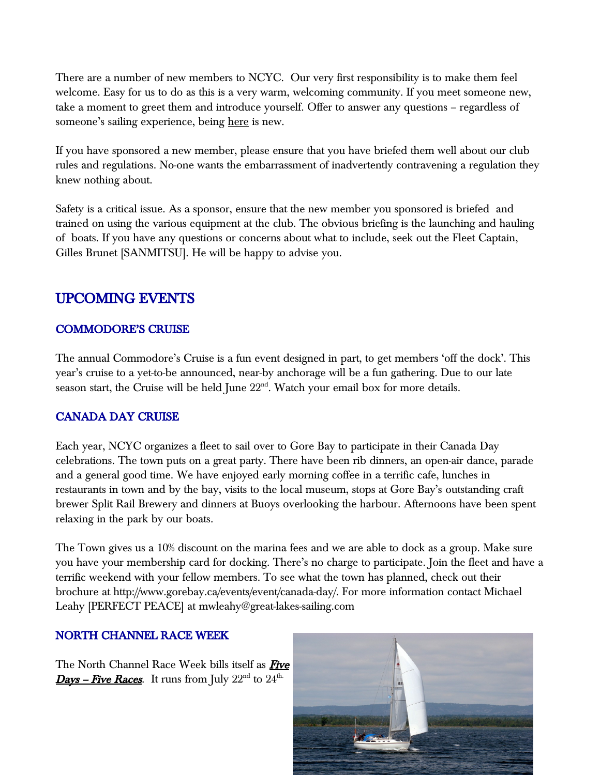There are a number of new members to NCYC. Our very first responsibility is to make them feel welcome. Easy for us to do as this is a very warm, welcoming community. If you meet someone new, take a moment to greet them and introduce yourself. Offer to answer any questions – regardless of someone's sailing experience, being here is new.

If you have sponsored a new member, please ensure that you have briefed them well about our club rules and regulations. No-one wants the embarrassment of inadvertently contravening a regulation they knew nothing about.

Safety is a critical issue. As a sponsor, ensure that the new member you sponsored is briefed and trained on using the various equipment at the club. The obvious briefing is the launching and hauling of boats. If you have any questions or concerns about what to include, seek out the Fleet Captain, Gilles Brunet [SANMITSU]. He will be happy to advise you.

## UPCOMING EVENTS

#### COMMODORE'S CRUISE

The annual Commodore's Cruise is a fun event designed in part, to get members 'off the dock'. This year's cruise to a yet-to-be announced, near-by anchorage will be a fun gathering. Due to our late season start, the Cruise will be held June  $22<sup>nd</sup>$ . Watch your email box for more details.

#### CANADA DAY CRUISE

Each year, NCYC organizes a fleet to sail over to Gore Bay to participate in their Canada Day celebrations. The town puts on a great party. There have been rib dinners, an open-air dance, parade and a general good time. We have enjoyed early morning coffee in a terrific cafe, lunches in restaurants in town and by the bay, visits to the local museum, stops at Gore Bay's outstanding craft brewer Split Rail Brewery and dinners at Buoys overlooking the harbour. Afternoons have been spent relaxing in the park by our boats.

The Town gives us a 10% discount on the marina fees and we are able to dock as a group. Make sure you have your membership card for docking. There's no charge to participate. Join the fleet and have a terrific weekend with your fellow members. To see what the town has planned, check out their brochure at http://www.gorebay.ca/events/event/canada-day/. For more information contact Michael Leahy [PERFECT PEACE] at mwleahy@great-lakes-sailing.com

#### NORTH CHANNEL RACE WEEK

The North Channel Race Week bills itself as Five **Days – Five Races.** It runs from July  $22<sup>nd</sup>$  to  $24<sup>th</sup>$ .